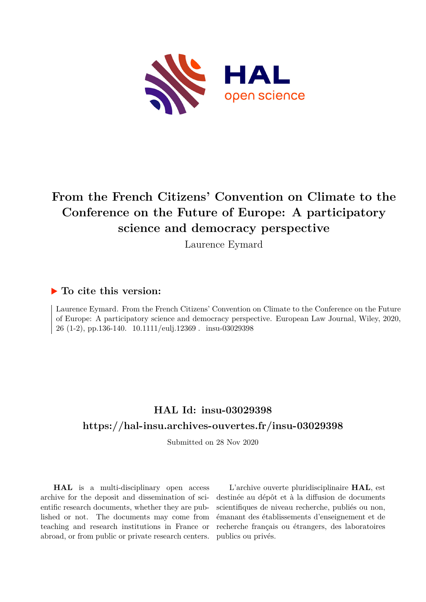

# **From the French Citizens' Convention on Climate to the Conference on the Future of Europe: A participatory science and democracy perspective**

Laurence Eymard

### **To cite this version:**

Laurence Eymard. From the French Citizens' Convention on Climate to the Conference on the Future of Europe: A participatory science and democracy perspective. European Law Journal, Wiley, 2020, 26 (1-2), pp.136-140. 10.1111/eulj.12369 . insu-03029398

## **HAL Id: insu-03029398 <https://hal-insu.archives-ouvertes.fr/insu-03029398>**

Submitted on 28 Nov 2020

**HAL** is a multi-disciplinary open access archive for the deposit and dissemination of scientific research documents, whether they are published or not. The documents may come from teaching and research institutions in France or abroad, or from public or private research centers.

L'archive ouverte pluridisciplinaire **HAL**, est destinée au dépôt et à la diffusion de documents scientifiques de niveau recherche, publiés ou non, émanant des établissements d'enseignement et de recherche français ou étrangers, des laboratoires publics ou privés.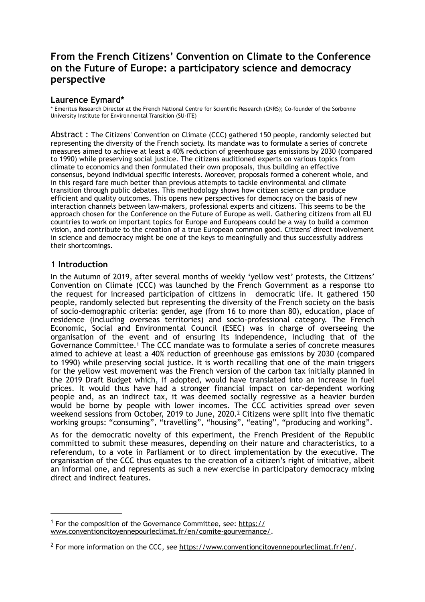## **From the French Citizens' Convention on Climate to the Conference on the Future of Europe: a participatory science and democracy perspective**

#### **Laurence Eymard\***

\* Emeritus Research Director at the French National Centre for Scientific Research (CNRS); Co-founder of the Sorbonne University Institute for Environmental Transition (SU-ITE)

Abstract : The Citizens' Convention on Climate (CCC) gathered 150 people, randomly selected but representing the diversity of the French society. Its mandate was to formulate a series of concrete measures aimed to achieve at least a 40% reduction of greenhouse gas emissions by 2030 (compared to 1990) while preserving social justice. The citizens auditioned experts on various topics from climate to economics and then formulated their own proposals, thus building an effective consensus, beyond individual specific interests. Moreover, proposals formed a coherent whole, and in this regard fare much better than previous attempts to tackle environmental and climate transition through public debates. This methodology shows how citizen science can produce efficient and quality outcomes. This opens new perspectives for democracy on the basis of new interaction channels between law-makers, professional experts and citizens. This seems to be the approach chosen for the Conference on the Future of Europe as well. Gathering citizens from all EU countries to work on important topics for Europe and Europeans could be a way to build a common vision, and contribute to the creation of a true European common good. Citizens' direct involvement in science and democracy might be one of the keys to meaningfully and thus successfully address their shortcomings.

#### **1 Introduction**

<span id="page-1-2"></span>In the Autumn of 2019, after several months of weekly 'yellow vest' protests, the Citizens' Convention on Climate (CCC) was launched by the French Government as a response tto the request for increased participation of citizens in democratic life. It gathered 150 people, randomly selected but representing the diversity of the French society on the basis of socio-demographic criteria: gender, age (from 16 to more than 80), education, place of residence (including overseas territories) and socio-professional category. The French Economic, Social and Environmental Council (ESEC) was in charge of overseeing the organisation of the event and of ensuring its independence, including that of the Governance Committee[.](#page-1-0)<sup>[1](#page-1-0)</sup> The CCC mandate was to formulate a series of concrete measures aimed to achieve at least a 40% reduction of greenhouse gas emissions by 2030 (compared to 1990) while preserving social justice. It is worth recalling that one of the main triggers for the yellow vest movement was the French version of the carbon tax initially planned in the 2019 Draft Budget which, if adopted, would have translated into an increase in fuel prices. It would thus have had a stronger financial impact on car-dependent working people and, as an indirect tax, it was deemed socially regressive as a heavier burden would be borne by people with lower incomes. The CCC activities spread over seven weekendsessions from October, [2](#page-1-1)019 to June, 2020.<sup>2</sup> Citizens were split into five thematic working groups: "consuming", "travelling", "housing", "eating", "producing and working".

<span id="page-1-3"></span>As for the democratic novelty of this experiment, the French President of the Republic committed to submit these measures, depending on their nature and characteristics, to a referendum, to a vote in Parliament or to direct implementation by the executive. The organisation of the CCC thus equates to the creation of a citizen's right of initiative, albeit an informal one, and represents as such a new exercise in participatory democracy mixing direct and indirect features.

<span id="page-1-0"></span> $1$  For the composition of the Governance Committee, see: [https://](https://www.conventioncitoyennepourleclimat.fr/en/comite-gourvernance/) [www.conventioncitoyennepourleclimat.fr/en/comite-gourvernance/](https://www.conventioncitoyennepourleclimat.fr/en/comite-gourvernance/).

<span id="page-1-1"></span> $2$  For more information on the CCC, see<https://www.conventioncitoyennepourleclimat.fr/en/>.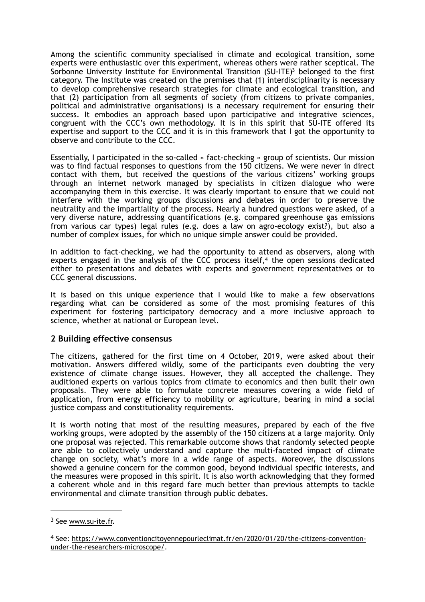<span id="page-2-2"></span>Among the scientific community specialised in climate and ecological transition, some experts were enthusiastic over this experiment, whereas others were rather sceptical. The Sorbonne University Institute for Environmental Transition  $(SU-ITE)^3$  $(SU-ITE)^3$  $(SU-ITE)^3$  $(SU-ITE)^3$  belonged to the first category. The Institute was created on the premises that (1) interdisciplinarity is necessary to develop comprehensive research strategies for climate and ecological transition, and that (2) participation from all segments of society (from citizens to private companies, political and administrative organisations) is a necessary requirement for ensuring their success. It embodies an approach based upon participative and integrative sciences, congruent with the CCC's own methodology. It is in this spirit that SU-ITE offered its expertise and support to the CCC and it is in this framework that I got the opportunity to observe and contribute to the CCC.

Essentially, I participated in the so-called « fact-checking » group of scientists. Our mission was to find factual responses to questions from the 150 citizens. We were never in direct contact with them, but received the questions of the various citizens' working groups through an internet network managed by specialists in citizen dialogue who were accompanying them in this exercise. It was clearly important to ensure that we could not interfere with the working groups discussions and debates in order to preserve the neutrality and the impartiality of the process. Nearly a hundred questions were asked, of a very diverse nature, addressing quantifications (e.g. compared greenhouse gas emissions from various car types) legal rules (e.g. does a law on agro-ecology exist?), but also a number of complex issues, for which no unique simple answer could be provided.

<span id="page-2-3"></span>In addition to fact-checking, we had the opportunity to attend as observers, along with experts engaged in the analysis of the CCC process itself[,](#page-2-1) $4$  the open sessions dedicated either to presentations and debates with experts and government representatives or to CCC general discussions.

It is based on this unique experience that I would like to make a few observations regarding what can be considered as some of the most promising features of this experiment for fostering participatory democracy and a more inclusive approach to science, whether at national or European level.

#### **2 Building effective consensus**

The citizens, gathered for the first time on 4 October, 2019, were asked about their motivation. Answers differed wildly, some of the participants even doubting the very existence of climate change issues. However, they all accepted the challenge. They auditioned experts on various topics from climate to economics and then built their own proposals. They were able to formulate concrete measures covering a wide field of application, from energy efficiency to mobility or agriculture, bearing in mind a social justice compass and constitutionality requirements.

It is worth noting that most of the resulting measures, prepared by each of the five working groups, were adopted by the assembly of the 150 citizens at a large majority. Only one proposal was rejected. This remarkable outcome shows that randomly selected people are able to collectively understand and capture the multi-faceted impact of climate change on society, what's more in a wide range of aspects. Moreover, the discussions showed a genuine concern for the common good, beyond individual specific interests, and the measures were proposed in this spirit. It is also worth acknowledging that they formed a coherent whole and in this regard fare much better than previous attempts to tackle environmental and climate transition through public debates.

<span id="page-2-0"></span> $3$  See [www.su-ite.fr.](http://www.su-ite.fr)

<span id="page-2-1"></span><sup>4</sup> [See: https://www.conventioncitoyennepourleclimat.fr/en/2020/01/20/the-citizens-convention](https://www.conventioncitoyennepourleclimat.fr/en/2020/01/20/the-citizens-convention-under-the-researchers-microscope/) [under-the-researchers-microscope/](https://www.conventioncitoyennepourleclimat.fr/en/2020/01/20/the-citizens-convention-under-the-researchers-microscope/).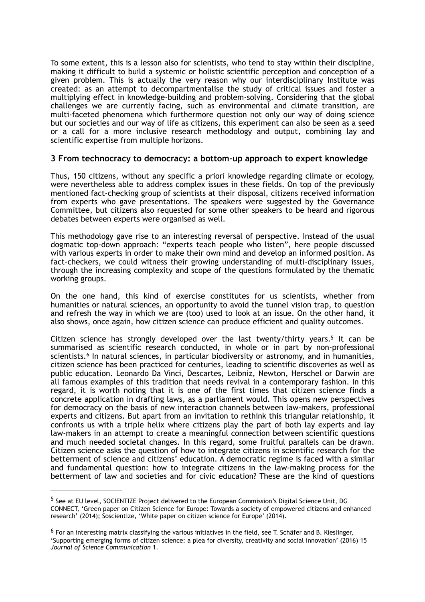To some extent, this is a lesson also for scientists, who tend to stay within their discipline, making it difficult to build a systemic or holistic scientific perception and conception of a given problem. This is actually the very reason why our interdisciplinary Institute was created: as an attempt to decompartmentalise the study of critical issues and foster a multiplying effect in knowledge-building and problem-solving. Considering that the global challenges we are currently facing, such as environmental and climate transition, are multi-faceted phenomena which furthermore question not only our way of doing science but our societies and our way of life as citizens, this experiment can also be seen as a seed or a call for a more inclusive research methodology and output, combining lay and scientific expertise from multiple horizons.

#### **3 From technocracy to democracy: a bottom-up approach to expert knowledge**

Thus, 150 citizens, without any specific a priori knowledge regarding climate or ecology, were nevertheless able to address complex issues in these fields. On top of the previously mentioned fact-checking group of scientists at their disposal, citizens received information from experts who gave presentations. The speakers were suggested by the Governance Committee, but citizens also requested for some other speakers to be heard and rigorous debates between experts were organised as well.

This methodology gave rise to an interesting reversal of perspective. Instead of the usual dogmatic top-down approach: "experts teach people who listen", here people discussed with various experts in order to make their own mind and develop an informed position. As fact-checkers, we could witness their growing understanding of multi-disciplinary issues, through the increasing complexity and scope of the questions formulated by the thematic working groups.

On the one hand, this kind of exercise constitutes for us scientists, whether from humanities or natural sciences, an opportunity to avoid the tunnel vision trap, to question and refresh the way in which we are (too) used to look at an issue. On the other hand, it also shows, once again, how citizen science can produce efficient and quality outcomes.

<span id="page-3-3"></span><span id="page-3-2"></span>Citizen science has strongly developed over the last twenty/thirty years[.](#page-3-0)<sup>[5](#page-3-0)</sup> It can be summarised as scientific research conducted, in whole or in part by non-professional scientists.<sup>6</sup>In natural sciences, in particular biodiversity or astronomy, and in humanities, citizen science has been practiced for centuries, leading to scientific discoveries as well as public education. Leonardo Da Vinci, Descartes, Leibniz, Newton, Herschel or Darwin are all famous examples of this tradition that needs revival in a contemporary fashion. In this regard, it is worth noting that it is one of the first times that citizen science finds a concrete application in drafting laws, as a parliament would. This opens new perspectives for democracy on the basis of new interaction channels between law-makers, professional experts and citizens. But apart from an invitation to rethink this triangular relationship, it confronts us with a triple helix where citizens play the part of both lay experts and lay law-makers in an attempt to create a meaningful connection between scientific questions and much needed societal changes. In this regard, some fruitful parallels can be drawn. Citizen science asks the question of how to integrate citizens in scientific research for the betterment of science and citizens' education. A democratic regime is faced with a similar and fundamental question: how to integrate citizens in the law-making process for the betterment of law and societies and for civic education? These are the kind of questions

<span id="page-3-0"></span><sup>&</sup>lt;sup>[5](#page-3-2)</sup> See at EU level, SOCIENTIZE Project delivered to the European Commission's Digital Science Unit, DG CONNECT, 'Green paper on Citizen Science for Europe: Towards a society of empowered citizens and enhanced research' (2014); Soscientize, 'White paper on citizen science for Europe' (2014).

<span id="page-3-1"></span> $6$  For an interesting matrix classifying the various initiatives in the field, see T. Schäfer and B. Kieslinger, 'Supporting emerging forms of citizen science: a plea for diversity, creativity and social innovation' (2016) 15 *Journal of Science Communication* 1.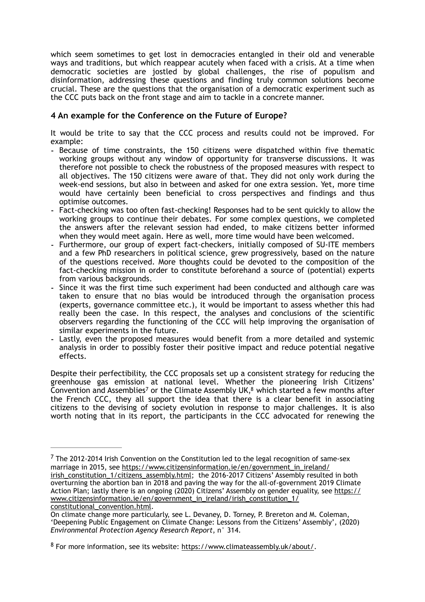which seem sometimes to get lost in democracies entangled in their old and venerable ways and traditions, but which reappear acutely when faced with a crisis. At a time when democratic societies are jostled by global challenges, the rise of populism and disinformation, addressing these questions and finding truly common solutions become crucial. These are the questions that the organisation of a democratic experiment such as the CCC puts back on the front stage and aim to tackle in a concrete manner.

#### **4 An example for the Conference on the Future of Europe?**

It would be trite to say that the CCC process and results could not be improved. For example:

- Because of time constraints, the 150 citizens were dispatched within five thematic working groups without any window of opportunity for transverse discussions. It was therefore not possible to check the robustness of the proposed measures with respect to all objectives. The 150 citizens were aware of that. They did not only work during the week-end sessions, but also in between and asked for one extra session. Yet, more time would have certainly been beneficial to cross perspectives and findings and thus optimise outcomes.
- Fact-checking was too often fast-checking! Responses had to be sent quickly to allow the working groups to continue their debates. For some complex questions, we completed the answers after the relevant session had ended, to make citizens better informed when they would meet again. Here as well, more time would have been welcomed.
- Furthermore, our group of expert fact-checkers, initially composed of SU-ITE members and a few PhD researchers in political science, grew progressively, based on the nature of the questions received. More thoughts could be devoted to the composition of the fact-checking mission in order to constitute beforehand a source of (potential) experts from various backgrounds.
- Since it was the first time such experiment had been conducted and although care was taken to ensure that no bias would be introduced through the organisation process (experts, governance committee etc.), it would be important to assess whether this had really been the case. In this respect, the analyses and conclusions of the scientific observers regarding the functioning of the CCC will help improving the organisation of similar experiments in the future.
- Lastly, even the proposed measures would benefit from a more detailed and systemic analysis in order to possibly foster their positive impact and reduce potential negative effects.

<span id="page-4-3"></span><span id="page-4-2"></span>Despite their perfectibility, the CCC proposals set up a consistent strategy for reducing the greenhouse gas emission at national level. Whether the pioneering Irish Citizens' Conventionand Assemblies<sup>7</sup> or the Climate Assembly UK[,](#page-4-1)<sup>8</sup> which started a few months after the French CCC, they all support the idea that there is a clear benefit in associating citizens to the devising of society evolution in response to major challenges. It is also worth noting that in its report, the participants in the CCC advocated for renewing the

<span id="page-4-0"></span> $7$  The 2012-2014 Irish Convention on the Constitution led to the legal recognition of same-sex marriage in 2015, see [https://www.citizensinformation.ie/en/government\\_in\\_ireland/](https://www.citizensinformation.ie/en/government_in_ireland/irish_constitution_1/citizens_assembly.html) [irish\\_constitution\\_1/citizens\\_assembly.html; the 2016-2017 Citizens' Assembly resulted](https://www.citizensinformation.ie/en/government_in_ireland/irish_constitution_1/citizens_assembly.html) in both overturning the abortion ban in 2018 and paving the way for the all-of-government 2019 Climate Action Plan; lastly there is an ongoing (2020) Citizens' Assembly on gender equality, see [https://](https://www.citizensinformation.ie/en/government_in_ireland/irish_constitution_1/constitutional_convention.html) [www.citizensinformation.ie/en/government\\_in\\_ireland/irish\\_constitution\\_1/](https://www.citizensinformation.ie/en/government_in_ireland/irish_constitution_1/constitutional_convention.html) [constitutional\\_convention.html.](https://www.citizensinformation.ie/en/government_in_ireland/irish_constitution_1/constitutional_convention.html)

On climate change more particularly, see L. Devaney, D. Torney, P. Brereton and M. Coleman, 'Deepening Public Engagement on Climate Change: Lessons from the Citizens' Assembly', (2020) *Environmental Protection Agency Research Report*, n° 314.

<span id="page-4-1"></span> $8$  For more information, see its website: [https://www.climateassembly.uk/about/.](https://www.climateassembly.uk/about/)